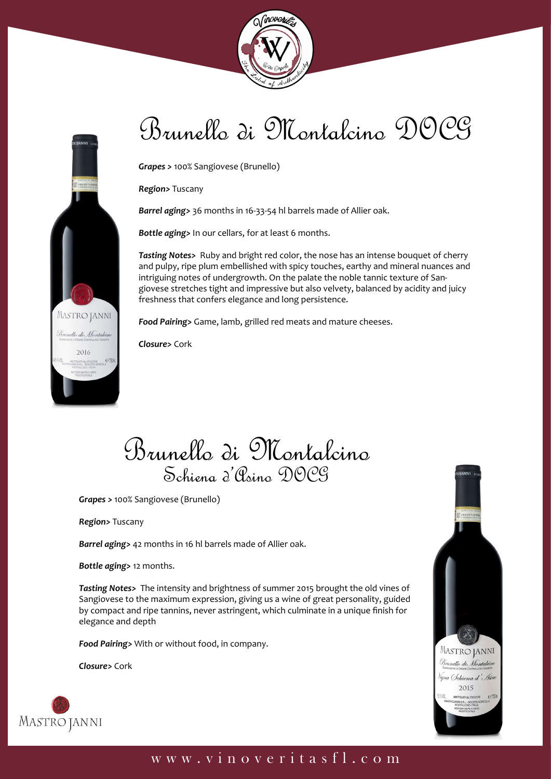



# Brunello di Montalcino DOCG

*Grapes >* 100% Sangiovese (Brunello)

*Region>* Tuscany

*Barrel aging>* 36 months in 16-33-54 hl barrels made of Allier oak.

*Bottle aging>* In our cellars, for at least 6 months.

*Tasting Notes>* Ruby and bright red color, the nose has an intense bouquet of cherry and pulpy, ripe plum embellished with spicy touches, earthy and mineral nuances and intriguing notes of undergrowth. On the palate the noble tannic texture of Sangiovese stretches tight and impressive but also velvety, balanced by acidity and juicy freshness that confers elegance and long persistence.

*Food Pairing>* Game, lamb, grilled red meats and mature cheeses.

*Closure>* Cork

Brunello di Montalcino Schiena d'Asino DOCG

*Grapes >* 100% Sangiovese (Brunello)

*Region>* Tuscany

*Barrel aging>* 42 months in 16 hl barrels made of Allier oak.

*Bottle aging>* 12 months.

*Tasting Notes>* The intensity and brightness of summer 2015 brought the old vines of Sangiovese to the maximum expression, giving us a wine of great personality, guided by compact and ripe tannins, never astringent, which culminate in a unique finish for elegance and depth

*Food Pairing>* With or without food, in company.

*Closure>* Cork





#### www.vinoveritasfl.com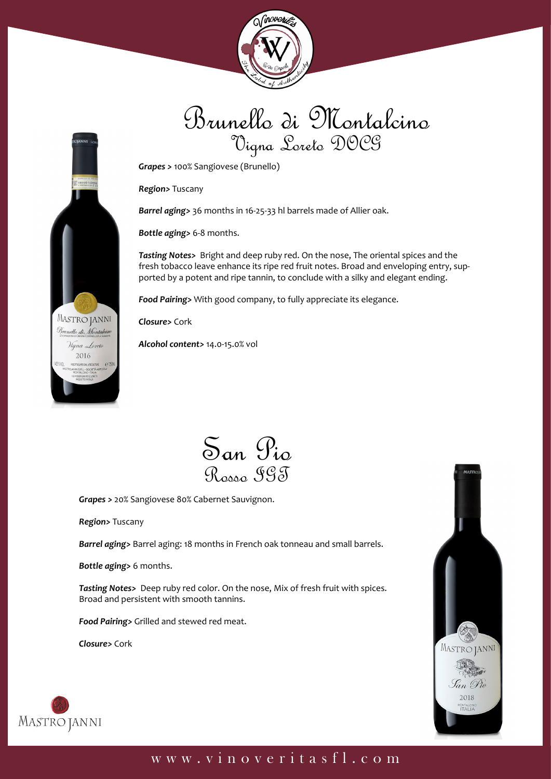



### Brunello di Montalcino Vigna Loreto DOCG

*Grapes >* 100% Sangiovese (Brunello)

*Region>* Tuscany

*Barrel aging>* 36 months in 16-25-33 hl barrels made of Allier oak.

*Bottle aging>* 6-8 months.

*Tasting Notes>* Bright and deep ruby red. On the nose, The oriental spices and the fresh tobacco leave enhance its ripe red fruit notes. Broad and enveloping entry, supported by a potent and ripe tannin, to conclude with a silky and elegant ending.

*Food Pairing>* With good company, to fully appreciate its elegance.

*Closure>* Cork

*Alcohol content>* 14.0-15.0% vol

San Pio Rosso IGT

*Grapes >* 20% Sangiovese 80% Cabernet Sauvignon.

*Region>* Tuscany

*Barrel aging>* Barrel aging: 18 months in French oak tonneau and small barrels.

*Bottle aging>* 6 months.

*Tasting Notes>* Deep ruby red color. On the nose, Mix of fresh fruit with spices. Broad and persistent with smooth tannins.

*Food Pairing>* Grilled and stewed red meat.

*Closure>* Cork





### www.vinoveritasfl.com